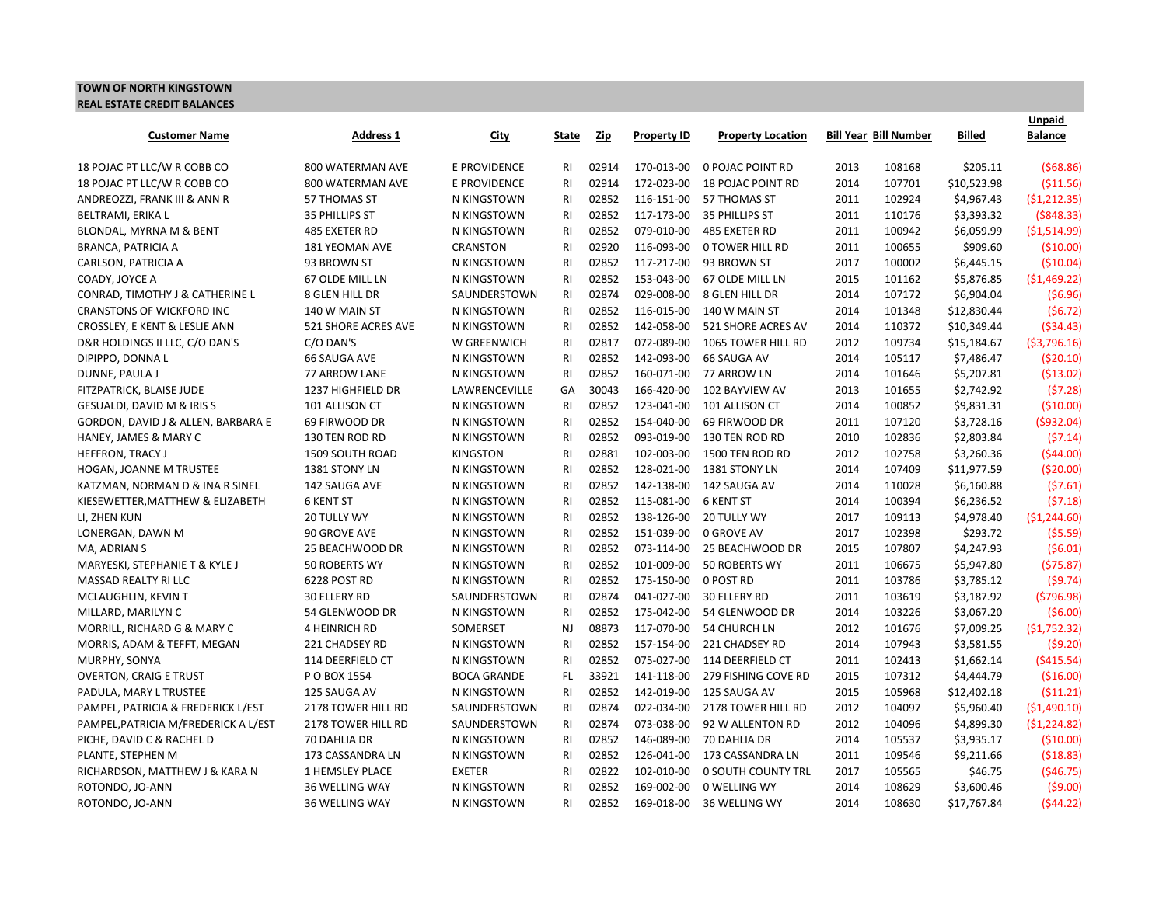## **TOWN OF NORTH KINGSTOWN REAL ESTATE CREDIT BALANCES**

| <b>Customer Name</b>                 | <b>Address 1</b>      |                     |                | Zip   | <b>Property ID</b> | <b>Property Location</b>  |      | <b>Bill Year Bill Number</b> | Billed      | <b>Unpaid</b><br><b>Balance</b> |
|--------------------------------------|-----------------------|---------------------|----------------|-------|--------------------|---------------------------|------|------------------------------|-------------|---------------------------------|
|                                      |                       | <u>City</u>         | <u>State</u>   |       |                    |                           |      |                              |             |                                 |
| 18 POJAC PT LLC/W R COBB CO          | 800 WATERMAN AVE      | E PROVIDENCE        | RI             | 02914 | 170-013-00         | <b>0 POJAC POINT RD</b>   | 2013 | 108168                       | \$205.11    | (568.86)                        |
| 18 POJAC PT LLC/W R COBB CO          | 800 WATERMAN AVE      | <b>E PROVIDENCE</b> | <b>RI</b>      | 02914 | 172-023-00         | <b>18 POJAC POINT RD</b>  | 2014 | 107701                       | \$10,523.98 | ( \$11.56)                      |
| ANDREOZZI, FRANK III & ANN R         | 57 THOMAS ST          | N KINGSTOWN         | <b>RI</b>      | 02852 | 116-151-00         | 57 THOMAS ST              | 2011 | 102924                       | \$4,967.43  | (51, 212.35)                    |
| BELTRAMI, ERIKA L                    | 35 PHILLIPS ST        | N KINGSTOWN         | <b>RI</b>      | 02852 | 117-173-00         | 35 PHILLIPS ST            | 2011 | 110176                       | \$3,393.32  | (5848.33)                       |
| BLONDAL, MYRNA M & BENT              | 485 EXETER RD         | N KINGSTOWN         | <b>RI</b>      | 02852 | 079-010-00         | 485 EXETER RD             | 2011 | 100942                       | \$6,059.99  | ( \$1,514.99)                   |
| <b>BRANCA, PATRICIA A</b>            | 181 YEOMAN AVE        | CRANSTON            | <b>RI</b>      | 02920 | 116-093-00         | <b>O TOWER HILL RD</b>    | 2011 | 100655                       | \$909.60    | (510.00)                        |
| CARLSON, PATRICIA A                  | 93 BROWN ST           | N KINGSTOWN         | <b>RI</b>      | 02852 | 117-217-00         | 93 BROWN ST               | 2017 | 100002                       | \$6,445.15  | ( \$10.04)                      |
| COADY, JOYCE A                       | 67 OLDE MILL LN       | N KINGSTOWN         | R <sub>1</sub> | 02852 | 153-043-00         | 67 OLDE MILL LN           | 2015 | 101162                       | \$5,876.85  | (\$1,469.22)                    |
| CONRAD, TIMOTHY J & CATHERINE L      | <b>8 GLEN HILL DR</b> | SAUNDERSTOWN        | <b>RI</b>      | 02874 | 029-008-00         | 8 GLEN HILL DR            | 2014 | 107172                       | \$6,904.04  | (56.96)                         |
| <b>CRANSTONS OF WICKFORD INC</b>     | 140 W MAIN ST         | N KINGSTOWN         | <b>RI</b>      | 02852 | 116-015-00         | 140 W MAIN ST             | 2014 | 101348                       | \$12,830.44 | (56.72)                         |
| CROSSLEY, E KENT & LESLIE ANN        | 521 SHORE ACRES AVE   | N KINGSTOWN         | RI             | 02852 | 142-058-00         | 521 SHORE ACRES AV        | 2014 | 110372                       | \$10,349.44 | (\$34.43)                       |
| D&R HOLDINGS II LLC, C/O DAN'S       | C/O DAN'S             | W GREENWICH         | R <sub>1</sub> | 02817 | 072-089-00         | 1065 TOWER HILL RD        | 2012 | 109734                       | \$15,184.67 | ( \$3,796.16)                   |
| DIPIPPO, DONNA L                     | <b>66 SAUGA AVE</b>   | N KINGSTOWN         | R <sub>1</sub> | 02852 | 142-093-00         | 66 SAUGA AV               | 2014 | 105117                       | \$7,486.47  | ( \$20.10)                      |
| DUNNE, PAULA J                       | 77 ARROW LANE         | N KINGSTOWN         | <b>RI</b>      | 02852 | 160-071-00         | 77 ARROW LN               | 2014 | 101646                       | \$5,207.81  | ( \$13.02)                      |
| FITZPATRICK, BLAISE JUDE             | 1237 HIGHFIELD DR     | LAWRENCEVILLE       | GA             | 30043 | 166-420-00         | 102 BAYVIEW AV            | 2013 | 101655                       | \$2,742.92  | (57.28)                         |
| GESUALDI, DAVID M & IRIS S           | 101 ALLISON CT        | N KINGSTOWN         | <b>RI</b>      | 02852 | 123-041-00         | 101 ALLISON CT            | 2014 | 100852                       | \$9,831.31  | ( \$10.00)                      |
| GORDON, DAVID J & ALLEN, BARBARA E   | 69 FIRWOOD DR         | N KINGSTOWN         | <b>RI</b>      | 02852 | 154-040-00         | 69 FIRWOOD DR             | 2011 | 107120                       | \$3,728.16  | (5932.04)                       |
| HANEY, JAMES & MARY C                | 130 TEN ROD RD        | N KINGSTOWN         | R <sub>1</sub> | 02852 | 093-019-00         | 130 TEN ROD RD            | 2010 | 102836                       | \$2,803.84  | (57.14)                         |
| <b>HEFFRON, TRACY J</b>              | 1509 SOUTH ROAD       | <b>KINGSTON</b>     | <b>RI</b>      | 02881 | 102-003-00         | 1500 TEN ROD RD           | 2012 | 102758                       | \$3,260.36  | (544.00)                        |
| HOGAN, JOANNE M TRUSTEE              | 1381 STONY LN         | N KINGSTOWN         | <b>RI</b>      | 02852 | 128-021-00         | 1381 STONY LN             | 2014 | 107409                       | \$11,977.59 | ( \$20.00)                      |
| KATZMAN, NORMAN D & INA R SINEL      | 142 SAUGA AVE         | N KINGSTOWN         | R <sub>1</sub> | 02852 | 142-138-00         | 142 SAUGA AV              | 2014 | 110028                       | \$6,160.88  | (57.61)                         |
| KIESEWETTER, MATTHEW & ELIZABETH     | <b>6 KENT ST</b>      | N KINGSTOWN         | <b>RI</b>      | 02852 | 115-081-00         | <b>6 KENT ST</b>          | 2014 | 100394                       | \$6,236.52  | (57.18)                         |
| LI, ZHEN KUN                         | 20 TULLY WY           | N KINGSTOWN         | R <sub>1</sub> | 02852 | 138-126-00         | 20 TULLY WY               | 2017 | 109113                       | \$4,978.40  | (\$1,244.60)                    |
| LONERGAN, DAWN M                     | 90 GROVE AVE          | N KINGSTOWN         | <b>RI</b>      | 02852 | 151-039-00         | <b>0 GROVE AV</b>         | 2017 | 102398                       | \$293.72    | (55.59)                         |
| MA, ADRIAN S                         | 25 BEACHWOOD DR       | N KINGSTOWN         | <b>RI</b>      | 02852 | 073-114-00         | 25 BEACHWOOD DR           | 2015 | 107807                       | \$4,247.93  | (56.01)                         |
| MARYESKI, STEPHANIE T & KYLE J       | <b>50 ROBERTS WY</b>  | N KINGSTOWN         | R <sub>1</sub> | 02852 | 101-009-00         | 50 ROBERTS WY             | 2011 | 106675                       | \$5,947.80  | (575.87)                        |
| MASSAD REALTY RI LLC                 | 6228 POST RD          | N KINGSTOWN         | RI             | 02852 | 175-150-00         | 0 POST RD                 | 2011 | 103786                       | \$3,785.12  | (59.74)                         |
| MCLAUGHLIN, KEVIN T                  | 30 ELLERY RD          | SAUNDERSTOWN        | <b>RI</b>      | 02874 | 041-027-00         | <b>30 ELLERY RD</b>       | 2011 | 103619                       | \$3,187.92  | (5796.98)                       |
| MILLARD, MARILYN C                   | 54 GLENWOOD DR        | N KINGSTOWN         | <b>RI</b>      | 02852 | 175-042-00         | 54 GLENWOOD DR            | 2014 | 103226                       | \$3,067.20  | (56.00)                         |
| MORRILL, RICHARD G & MARY C          | 4 HEINRICH RD         | SOMERSET            | <b>NJ</b>      | 08873 | 117-070-00         | <b>54 CHURCH LN</b>       | 2012 | 101676                       | \$7,009.25  | (51, 752.32)                    |
| MORRIS, ADAM & TEFFT, MEGAN          | 221 CHADSEY RD        | N KINGSTOWN         | R <sub>1</sub> | 02852 | 157-154-00         | 221 CHADSEY RD            | 2014 | 107943                       | \$3,581.55  | (59.20)                         |
| MURPHY, SONYA                        | 114 DEERFIELD CT      | N KINGSTOWN         | R <sub>l</sub> | 02852 | 075-027-00         | 114 DEERFIELD CT          | 2011 | 102413                       | \$1,662.14  | (5415.54)                       |
| <b>OVERTON, CRAIG E TRUST</b>        | P O BOX 1554          | <b>BOCA GRANDE</b>  | FL.            | 33921 | 141-118-00         | 279 FISHING COVE RD       | 2015 | 107312                       | \$4,444.79  | ( \$16.00)                      |
| PADULA, MARY L TRUSTEE               | 125 SAUGA AV          | N KINGSTOWN         | <b>RI</b>      | 02852 | 142-019-00         | 125 SAUGA AV              | 2015 | 105968                       | \$12,402.18 | (511.21)                        |
| PAMPEL, PATRICIA & FREDERICK L/EST   | 2178 TOWER HILL RD    | SAUNDERSTOWN        | <b>RI</b>      | 02874 | 022-034-00         | 2178 TOWER HILL RD        | 2012 | 104097                       | \$5,960.40  | (51,490.10)                     |
| PAMPEL, PATRICIA M/FREDERICK A L/EST | 2178 TOWER HILL RD    | SAUNDERSTOWN        | R <sub>1</sub> | 02874 | 073-038-00         | 92 W ALLENTON RD          | 2012 | 104096                       | \$4,899.30  | (51, 224.82)                    |
| PICHE, DAVID C & RACHEL D            | 70 DAHLIA DR          | N KINGSTOWN         | <b>RI</b>      | 02852 | 146-089-00         | 70 DAHLIA DR              | 2014 | 105537                       | \$3,935.17  | ( \$10.00)                      |
| PLANTE, STEPHEN M                    | 173 CASSANDRA LN      | N KINGSTOWN         | R <sub>1</sub> | 02852 | 126-041-00         | 173 CASSANDRA LN          | 2011 | 109546                       | \$9,211.66  | (518.83)                        |
| RICHARDSON, MATTHEW J & KARA N       | 1 HEMSLEY PLACE       | <b>EXETER</b>       | <b>RI</b>      | 02822 | 102-010-00         | <b>0 SOUTH COUNTY TRL</b> | 2017 | 105565                       | \$46.75     | (546.75)                        |
| ROTONDO, JO-ANN                      | 36 WELLING WAY        | N KINGSTOWN         | R <sub>1</sub> | 02852 | 169-002-00         | 0 WELLING WY              | 2014 | 108629                       | \$3,600.46  | (59.00)                         |
| ROTONDO, JO-ANN                      | 36 WELLING WAY        | N KINGSTOWN         | <b>RI</b>      | 02852 | 169-018-00         | 36 WELLING WY             | 2014 | 108630                       | \$17,767.84 | (544.22)                        |